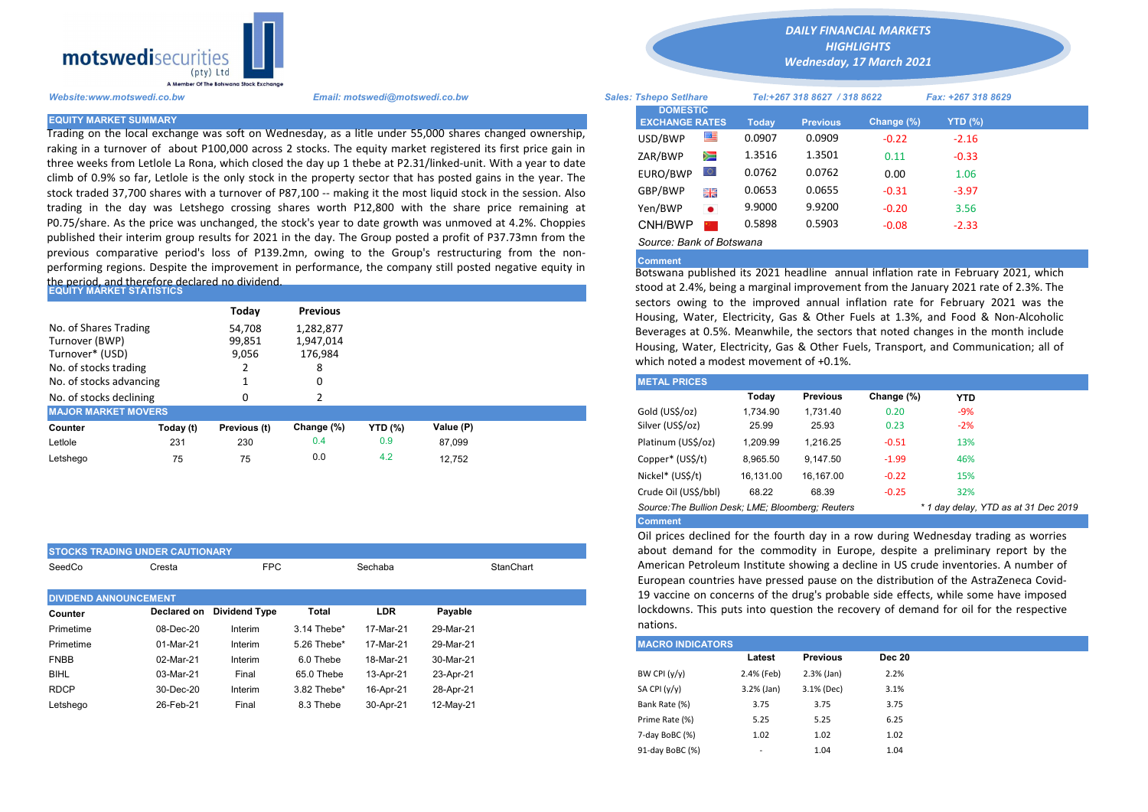

Trading on the local exchange was soft on Wednesday, as a litle under 55,000 shares changed ownership, raking in a turnover of about P100,000 across 2 stocks. The equity market registered its first price gain in three weeks from Letlole La Rona, which closed the day up 1 thebe at P2.31/linked-unit. With a year to date climb of 0.9% so far, Letlole is the only stock in the property sector that has posted gains in the year. The stock traded 37,700 shares with a turnover of P87,100 -- making it the most liquid stock in the session. Also trading in the day was Letshego crossing shares worth P12,800 with the share price remaining at P0.75/share. As the price was unchanged, the stock's year to date growth was unmoved at 4.2%. Choppies published their interim group results for 2021 in the day. The Group posted a profit of P37.73mn from the previous comparative period's loss of P139.2mn, owing to the Group's restructuring from the nonperforming regions. Despite the improvement in performance, the company still posted negative equity in

## the period, and therefore declared no dividend.<br>|EQUITY MARKET STATISTICS

| No. of Shares Trading<br>Turnover (BWP)<br>Turnover* (USD)<br>No. of stocks trading |                                                          | Today<br>54,708<br>99,851<br>9,056 | <b>Previous</b><br>1,282,877<br>1,947,014<br>176,984<br>8 |                |           |  | sectors owing to the improved annual inflation rate for February 20<br>Housing, Water, Electricity, Gas & Other Fuels at 1.3%, and Food & N<br>Beverages at 0.5%. Meanwhile, the sectors that noted changes in the m<br>Housing, Water, Electricity, Gas & Other Fuels, Transport, and Communi<br>which noted a modest movement of +0.1%. |                     |          |          |            |            |  |  |
|-------------------------------------------------------------------------------------|----------------------------------------------------------|------------------------------------|-----------------------------------------------------------|----------------|-----------|--|-------------------------------------------------------------------------------------------------------------------------------------------------------------------------------------------------------------------------------------------------------------------------------------------------------------------------------------------|---------------------|----------|----------|------------|------------|--|--|
| No. of stocks advancing                                                             |                                                          |                                    | 0                                                         |                |           |  |                                                                                                                                                                                                                                                                                                                                           | <b>METAL PRICES</b> |          |          |            |            |  |  |
| No. of stocks declining                                                             |                                                          |                                    |                                                           |                |           |  |                                                                                                                                                                                                                                                                                                                                           |                     | Today    | Previous | Change (%) | <b>YTD</b> |  |  |
|                                                                                     | <b>MAJOR MARKET MOVERS</b><br>Gold (US\$/oz)<br>1.734.90 |                                    |                                                           |                |           |  | 1.731.40                                                                                                                                                                                                                                                                                                                                  | 0.20                | $-9%$    |          |            |            |  |  |
| Counter                                                                             | Today (t)                                                | Previous (t)                       | Change (%)                                                | <b>YTD (%)</b> | Value (P) |  |                                                                                                                                                                                                                                                                                                                                           | Silver (US\$/oz)    | 25.99    | 25.93    | 0.23       | $-2%$      |  |  |
| Letlole                                                                             | 231                                                      | 230                                | 0.4                                                       | 0.9            | 87.099    |  |                                                                                                                                                                                                                                                                                                                                           | Platinum (US\$/oz)  | 1,209.99 | 1.216.25 | $-0.51$    | 13%        |  |  |
| Letshego                                                                            | 75                                                       | 75                                 | 0.0                                                       | 4.2            | 12.752    |  |                                                                                                                                                                                                                                                                                                                                           | Copper* (US\$/t)    | 8,965.50 | 9.147.50 | $-1.99$    | 46%        |  |  |

| <b>STOCKS TRADING UNDER CAUTIONARY</b> |             |                      |             |                      |           |  |  |  |  |
|----------------------------------------|-------------|----------------------|-------------|----------------------|-----------|--|--|--|--|
| SeedCo                                 | Cresta      | <b>FPC</b>           |             | Sechaba<br>StanChart |           |  |  |  |  |
| <b>DIVIDEND ANNOUNCEMENT</b>           |             |                      |             |                      |           |  |  |  |  |
| Counter                                | Declared on | <b>Dividend Type</b> | Total       | <b>LDR</b>           | Payable   |  |  |  |  |
| Primetime                              | 08-Dec-20   | Interim              | 3.14 Thebe* | 17-Mar-21            | 29-Mar-21 |  |  |  |  |
| Primetime                              | 01-Mar-21   | Interim              | 5.26 Thebe* | 17-Mar-21            | 29-Mar-21 |  |  |  |  |
| <b>FNBB</b>                            | 02-Mar-21   | Interim              | 6.0 Thebe   | 18-Mar-21            | 30-Mar-21 |  |  |  |  |
| <b>BIHL</b>                            | 03-Mar-21   | Final                | 65.0 Thebe  | 13-Apr-21            | 23-Apr-21 |  |  |  |  |
| <b>RDCP</b>                            | 30-Dec-20   | Interim              | 3.82 Thebe* | 16-Apr-21            | 28-Apr-21 |  |  |  |  |
| Letshego                               | 26-Feb-21   | Final                | 8.3 Thebe   | 30-Apr-21            | 12-May-21 |  |  |  |  |

*DAILY FINANCIAL MARKETS*

*HIGHLIGHTS*

*Wednesday, 17 March 2021* 

| Website:www.motswedi.co.bw   | Email: motswedi@motswedi.co.bw                                                                                | <b>Sales: Tshepo Setlhare</b> |           | Tel:+267 318 8627 / 318 8622 |                 |            | Fax: +267 318 8629 |  |
|------------------------------|---------------------------------------------------------------------------------------------------------------|-------------------------------|-----------|------------------------------|-----------------|------------|--------------------|--|
| <b>EQUITY MARKET SUMMARY</b> |                                                                                                               | <b>DOMESTIC</b>               |           |                              |                 |            |                    |  |
|                              |                                                                                                               | <b>EXCHANGE RATES</b>         |           | <b>Todav</b>                 | <b>Previous</b> | Change (%) | <b>YTD (%)</b>     |  |
|                              | Trading on the local exchange was soft on Wednesday, as a litle under 55,000 shares changed ownership,        | USD/BWP                       |           | 0.0907                       | 0.0909          | $-0.22$    | $-2.16$            |  |
|                              | aking in a turnover of about P100,000 across 2 stocks. The equity market registered its first price gain in   | ZAR/BWP                       | Ň         | 1.3516                       | 1.3501          | 0.11       | $-0.33$            |  |
|                              | hree weeks from Letlole La Rona, which closed the day up 1 thebe at P2.31/linked-unit. With a year to date:   |                               |           |                              |                 |            |                    |  |
|                              | climb of 0.9% so far, Letlole is the only stock in the property sector that has posted gains in the year. The | EURO/BWP                      |           | 0.0762                       | 0.0762          | 0.00       | 1.06               |  |
|                              | stock traded 37,700 shares with a turnover of P87,100 -- making it the most liquid stock in the session. Also | GBP/BWP                       | 開票        | 0.0653                       | 0.0655          | $-0.31$    | $-3.97$            |  |
|                              | rading in the day was Letshego crossing shares worth P12,800 with the share price remaining at                | Yen/BWP                       | $\bullet$ | 9.9000                       | 9.9200          | $-0.20$    | 3.56               |  |
|                              | 0.75/share. As the price was unchanged, the stock's year to date growth was unmoved at 4.2%. Choppies         | CNH/BWP                       |           | 0.5898                       | 0.5903          | $-0.08$    | $-2.33$            |  |
|                              | oublished their interim group results for 2021 in the day. The Group posted a profit of P37.73mn from the     | Source: Bank of Botswana      |           |                              |                 |            |                    |  |

## Comment

Botswana published its 2021 headline annual inflation rate in February 2021, which stood at 2.4%, being a marginal improvement from the January 2021 rate of 2.3%. The sectors owing to the improved annual inflation rate for February 2021 was the Housing, Water, Electricity, Gas & Other Fuels at 1.3%, and Food & Non-Alcoholic Beverages at 0.5%. Meanwhile, the sectors that noted changes in the month include Housing, Water, Electricity, Gas & Other Fuels, Transport, and Communication; all of which noted a modest movement of +0.1%.

| <b>METAL PRICES</b>                                                                       |           |                 |            |            |  |  |  |  |  |
|-------------------------------------------------------------------------------------------|-----------|-----------------|------------|------------|--|--|--|--|--|
|                                                                                           | Today     | <b>Previous</b> | Change (%) | <b>YTD</b> |  |  |  |  |  |
| Gold (US\$/oz)                                                                            | 1.734.90  | 1.731.40        | 0.20       | $-9%$      |  |  |  |  |  |
| Silver (US\$/oz)                                                                          | 25.99     | 25.93           | 0.23       | $-2%$      |  |  |  |  |  |
| Platinum (US\$/oz)                                                                        | 1.209.99  | 1.216.25        | $-0.51$    | 13%        |  |  |  |  |  |
| Copper* (US\$/t)                                                                          | 8,965.50  | 9.147.50        | $-1.99$    | 46%        |  |  |  |  |  |
| Nickel* (US\$/t)                                                                          | 16.131.00 | 16.167.00       | $-0.22$    | 15%        |  |  |  |  |  |
| Crude Oil (US\$/bbl)                                                                      | 68.22     | 68.39           | $-0.25$    | 32%        |  |  |  |  |  |
| Source: The Bullion Desk; LME; Bloomberg: Reuters<br>* 1 day delay, YTD as at 31 Dec 2019 |           |                 |            |            |  |  |  |  |  |
| <b>Comment</b>                                                                            |           |                 |            |            |  |  |  |  |  |

Oil prices declined for the fourth day in a row during Wednesday trading as worries about demand for the commodity in Europe, despite a preliminary report by the American Petroleum Institute showing a decline in US crude inventories. A number of European countries have pressed pause on the distribution of the AstraZeneca Covid-19 vaccine on concerns of the drug's probable side effects, while some have imposed lockdowns. This puts into question the recovery of demand for oil for the respective nations.

| <b>MACRO INDICATORS</b> |              |                 |               |  |  |  |  |  |  |  |
|-------------------------|--------------|-----------------|---------------|--|--|--|--|--|--|--|
|                         | Latest       | <b>Previous</b> | <b>Dec 20</b> |  |  |  |  |  |  |  |
| BW CPI $(y/y)$          | 2.4% (Feb)   | $2.3%$ (Jan)    | 2.2%          |  |  |  |  |  |  |  |
| SA CPI (y/y)            | $3.2%$ (Jan) | 3.1% (Dec)      | 3.1%          |  |  |  |  |  |  |  |
| Bank Rate (%)           | 3.75         | 3.75            | 3.75          |  |  |  |  |  |  |  |
| Prime Rate (%)          | 5.25         | 5.25            | 6.25          |  |  |  |  |  |  |  |
| 7-day BoBC (%)          | 1.02         | 1.02            | 1.02          |  |  |  |  |  |  |  |
| 91-day BoBC (%)         | -            | 1.04            | 1.04          |  |  |  |  |  |  |  |